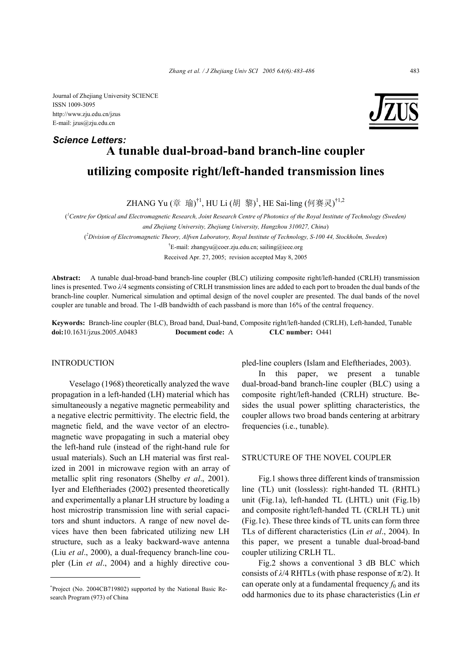Journal of Zhejiang University SCIENCE ISSN 1009-3095 http://www.zju.edu.cn/jzus E-mail: jzus@zju.edu.cn

# **A tunable dual-broad-band branch-line coupler utilizing composite right/left-handed transmission lines** *Science Letters:*

ZHANG Yu (章 瑜)<sup>†1</sup>, HU Li (胡 黎)<sup>1</sup>, HE Sai-ling (何赛灵)<sup>†1,2</sup>

( *1 Centre for Optical and Electromagnetic Research, Joint Research Centre of Photonics of the Royal Institute of Technology (Sweden) and Zhejiang University, Zhejiang University, Hangzhou 310027, China*) ( *2 Division of Electromagnetic Theory, Alfven Laboratory, Royal Institute of Technology, S-100 44, Stockholm, Sweden*) <sup>†</sup>E-mail: zhangyu@coer.zju.edu.cn; sailing@ieee.org Received Apr. 27, 2005; revision accepted May 8, 2005

**Abstract:** A tunable dual-broad-band branch-line coupler (BLC) utilizing composite right/left-handed (CRLH) transmission lines is presented. Two *λ*/4 segments consisting of CRLH transmission lines are added to each port to broaden the dual bands of the branch-line coupler. Numerical simulation and optimal design of the novel coupler are presented. The dual bands of the novel coupler are tunable and broad. The 1-dB bandwidth of each passband is more than 16% of the central frequency.

**Keywords:** Branch-line coupler (BLC), Broad band, Dual-band, Composite right/left-handed (CRLH), Left-handed, Tunable **doi:**10.1631/jzus.2005.A0483 **Document code:** A **CLC number:** O441

#### INTRODUCTION

Veselago (1968) theoretically analyzed the wave propagation in a left-handed (LH) material which has simultaneously a negative magnetic permeability and a negative electric permittivity. The electric field, the magnetic field, and the wave vector of an electromagnetic wave propagating in such a material obey the left-hand rule (instead of the right-hand rule for usual materials). Such an LH material was first realized in 2001 in microwave region with an array of metallic split ring resonators (Shelby *et al*., 2001). Iyer and Eleftheriades (2002) presented theoretically and experimentally a planar LH structure by loading a host microstrip transmission line with serial capacitors and shunt inductors. A range of new novel devices have then been fabricated utilizing new LH structure, such as a leaky backward-wave antenna (Liu *et al*., 2000), a dual-frequency branch-line coupler (Lin *et al*., 2004) and a highly directive coupled-line couplers (Islam and Eleftheriades, 2003).

In this paper, we present a tunable dual-broad-band branch-line coupler (BLC) using a composite right/left-handed (CRLH) structure. Besides the usual power splitting characteristics, the coupler allows two broad bands centering at arbitrary frequencies (i.e., tunable).

# STRUCTURE OF THE NOVEL COUPLER

Fig.1 shows three different kinds of transmission line (TL) unit (lossless): right-handed TL (RHTL) unit (Fig.1a), left-handed TL (LHTL) unit (Fig.1b) and composite right/left-handed TL (CRLH TL) unit (Fig.1c). These three kinds of TL units can form three TLs of different characteristics (Lin *et al*., 2004). In this paper, we present a tunable dual-broad-band coupler utilizing CRLH TL.

Fig.2 shows a conventional 3 dB BLC which consists of  $\lambda$ /4 RHTLs (with phase response of  $\pi$ /2). It can operate only at a fundamental frequency  $f_0$  and its odd harmonics due to its phase characteristics (Lin *et* 

<sup>\*</sup> Project (No. 2004CB719802) supported by the National Basic Research Program (973) of China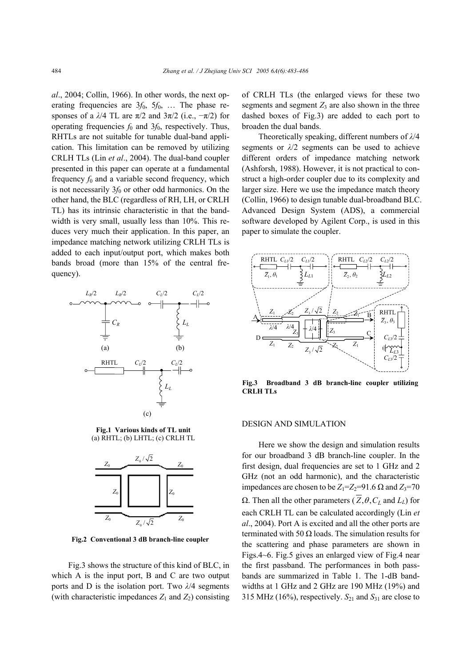*al*., 2004; Collin, 1966). In other words, the next operating frequencies are 3*f*0, 5*f*0, … The phase responses of a  $λ/4$  TL are  $π/2$  and  $3π/2$  (i.e.,  $-π/2$ ) for operating frequencies  $f_0$  and  $3f_0$ , respectively. Thus, RHTLs are not suitable for tunable dual-band application. This limitation can be removed by utilizing CRLH TLs (Lin *et al*., 2004). The dual-band coupler presented in this paper can operate at a fundamental frequency  $f_0$  and a variable second frequency, which is not necessarily  $3f_0$  or other odd harmonics. On the other hand, the BLC (regardless of RH, LH, or CRLH TL) has its intrinsic characteristic in that the bandwidth is very small, usually less than 10%. This reduces very much their application. In this paper, an impedance matching network utilizing CRLH TLs is added to each input/output port, which makes both bands broad (more than 15% of the central frequency).



**Fig.1 Various kinds of TL unit**  (a) RHTL; (b) LHTL; (c) CRLH TL



**Fig.2 Conventional 3 dB branch-line coupler**

Fig.3 shows the structure of this kind of BLC, in which A is the input port, B and C are two output ports and D is the isolation port. Two *λ*/4 segments (with characteristic impedances  $Z_1$  and  $Z_2$ ) consisting of CRLH TLs (the enlarged views for these two segments and segment  $Z_3$  are also shown in the three dashed boxes of Fig.3) are added to each port to broaden the dual bands.

Theoretically speaking, different numbers of *λ*/4 segments or *λ*/2 segments can be used to achieve different orders of impedance matching network (Ashforsh, 1988). However, it is not practical to construct a high-order coupler due to its complexity and larger size. Here we use the impedance match theory (Collin, 1966) to design tunable dual-broadband BLC. Advanced Design System (ADS), a commercial software developed by Agilent Corp., is used in this paper to simulate the coupler.



**Fig.3 Broadband 3 dB branch-line coupler utilizing CRLH TLs**

#### DESIGN AND SIMULATION

Here we show the design and simulation results for our broadband 3 dB branch-line coupler. In the first design, dual frequencies are set to 1 GHz and 2 GHz (not an odd harmonic), and the characteristic impedances are chosen to be  $Z_1 = Z_2 = 91.6$  Ω and  $Z_3 = 70$  $Ω$ . Then all the other parameters  $( Z, θ, C<sub>L</sub>$  and  $L<sub>L</sub>)$  for each CRLH TL can be calculated accordingly (Lin *et al*., 2004). Port A is excited and all the other ports are terminated with 50  $\Omega$  loads. The simulation results for the scattering and phase parameters are shown in Figs.4~6. Fig.5 gives an enlarged view of Fig.4 near the first passband. The performances in both passbands are summarized in Table 1. The 1-dB bandwidths at 1 GHz and 2 GHz are 190 MHz (19%) and 315 MHz (16%), respectively.  $S_{21}$  and  $S_{31}$  are close to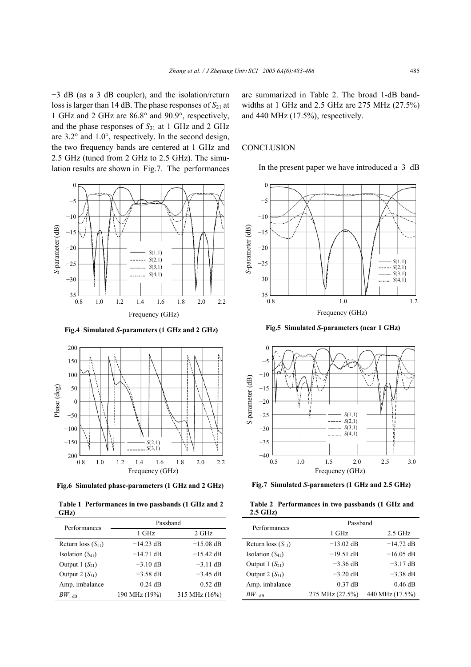−3 dB (as a 3 dB coupler), and the isolation/return loss is larger than 14 dB. The phase responses of  $S_{21}$  at 1 GHz and 2 GHz are 86.8° and 90.9°, respectively, and the phase responses of  $S_{31}$  at 1 GHz and 2 GHz are 3.2° and 1.0°, respectively. In the second design, the two frequency bands are centered at 1 GHz and 2.5 GHz (tuned from 2 GHz to 2.5 GHz). The simulation results are shown in Fig.7. The performances



**Fig.4 Simulated** *S***-parameters (1 GHz and 2 GHz)** 



**Fig.6 Simulated phase-parameters (1 GHz and 2 GHz)**

**Table 1 Performances in two passbands (1 GHz and 2 GHz)**

| Performances           | Passband      |               |  |  |
|------------------------|---------------|---------------|--|--|
|                        | 1 GHz         | 2 GHz         |  |  |
| Return loss $(S_{11})$ | $-14.23$ dB   | $-15.08$ dB   |  |  |
| Isolation $(S_{41})$   | $-14.71$ dB   | $-15.42$ dB   |  |  |
| Output $1(S_{21})$     | $-3.10$ dB    | $-3.11$ dB    |  |  |
| Output $2(S_{31})$     | $-3.58$ dB    | $-3.45$ dB    |  |  |
| Amp. imbalance         | $0.24$ dB     | $0.52$ dB     |  |  |
| $BW_{1 \text{ dB}}$    | 190 MHz (19%) | 315 MHz (16%) |  |  |

are summarized in Table 2. The broad 1-dB bandwidths at 1 GHz and 2.5 GHz are 275 MHz (27.5%) and 440 MHz (17.5%), respectively.

## **CONCLUSION**

In the present paper we have introduced a 3 dB



**Fig.5 Simulated** *S***-parameters (near 1 GHz)**



**Fig.7 Simulated** *S***-parameters (1 GHz and 2.5 GHz)**

|            | Table 2 Performances in two passbands (1 GHz and |  |  |  |
|------------|--------------------------------------------------|--|--|--|
| $2.5$ GHz) |                                                  |  |  |  |

| Performances           | Passband        |                 |  |  |
|------------------------|-----------------|-----------------|--|--|
|                        | 1 GHz           | $2.5$ GHz       |  |  |
| Return loss $(S_{11})$ | $-13.02$ dB     | $-14.72$ dB     |  |  |
| Isolation $(S_{41})$   | $-19.51$ dB     | $-16.05$ dB     |  |  |
| Output $1(S_{21})$     | $-3.36$ dB      | $-3.17$ dB      |  |  |
| Output $2(S_{31})$     | $-3.20$ dB      | $-3.38$ dB      |  |  |
| Amp. imbalance         | $0.37$ dB       | $0.46$ dB       |  |  |
| $BW_{1\,\text{dB}}$    | 275 MHz (27.5%) | 440 MHz (17.5%) |  |  |